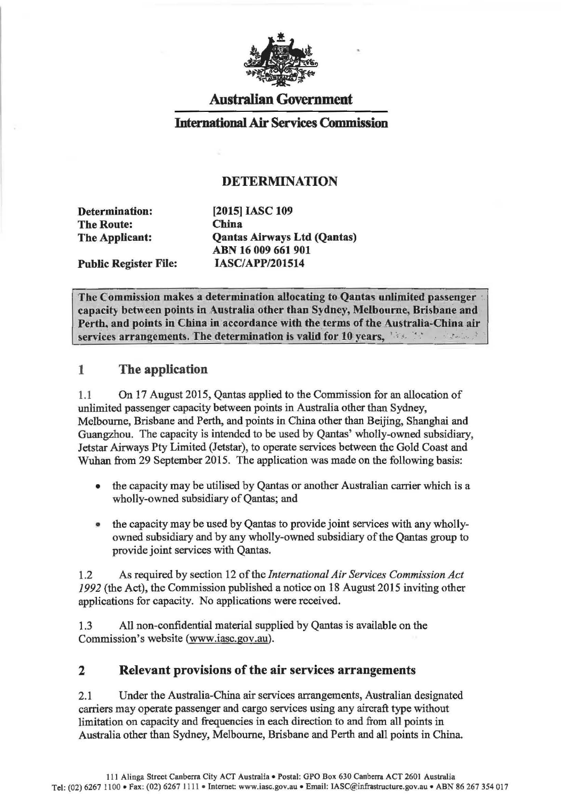

## Australian Government

#### International Air Services Commission

#### DETERMINATION

Determination: The Route: The Applicant:

Public Register File:

[2015] IASC 109 China Qantas Airways Ltd (Qantas) ABN 16 009 661 901 IASC/APP/201514

The Commission makes a determination allocating to Qantas unlimited passenger capacity between points in Australia other than Sydney, Melbourne, Brisbane and Perth, and points in China in accordance with the terms of the Australia-China air services arrangements. The determination is valid for 10 years, *internal the states* 

#### 1 The application

1.1 On 17 August 2015, Qantas applied to the Commission for an allocation of unlimited passenger capacity between points in Australia other than Sydney, Melbourne, Brisbane and Perth, and points in China other than Beijing, Shanghai and Guangzhou. The capacity is intended to be used by Qantas' wholly-owned subsidiary, Jetstar Airways Pty Limited (Jetstar), to operate services between the Gold Coast and Wuhan from 29 September 2015. The application was made on the following basis:

- the capacity may be utilised by Qantas or another Australian carrier which is a wholly-owned subsidiary of Qantas; and
- the capacity may be used by Qantas to provide joint services with any whollyowned subsidiary and by any wholly-owned subsidiary of the Qantas group to provide joint services with Qantas.

1.2 As required by section 12 of the *International Air Services Commission Act 1992* (the Act), the Commission published a notice on 18 August 2015 inviting other applications for capacity. No applications were received.

1.3 All non-confidential material supplied by Qantas is available on the Commission's website (www.iasc.gov.au).

#### 2 Relevant provisions of the air services arrangements

2.1 Under the Australia-China air services arrangements, Australian designated carriers may operate passenger and cargo services using any aircraft type without limitation on capacity and frequencies in each direction to and from all points in Australia other than Sydney, Melbourne, Brisbane and Perth and all points in China.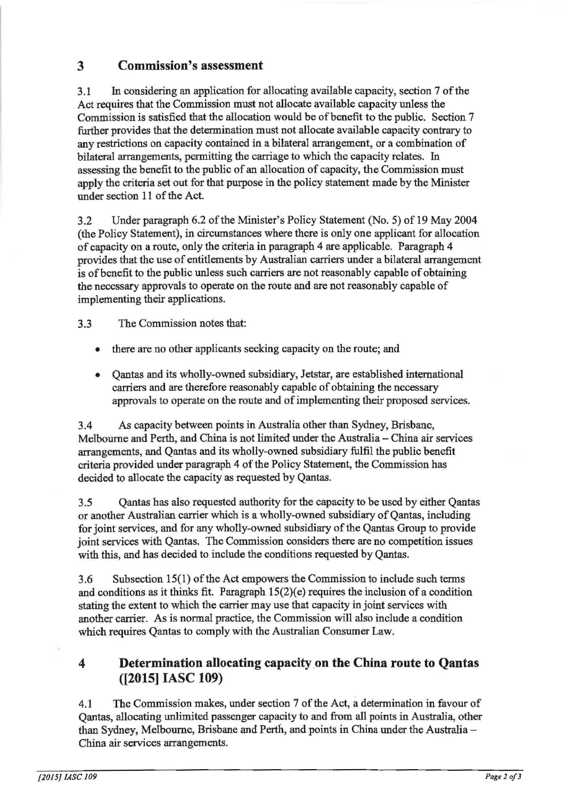# 3 Commission's assessment

3.1 In considering an application for allocating available capacity, section 7 of the Act requires that the Commission must not allocate available capacity unless the Commission is satisfied that the allocation would be of benefit to the public. Section 7 further provides that the determination must not allocate available capacity contrary to any restrictions on capacity contained in a bilateral arrangement, or a combination of bilateral arrangements, permitting the carriage to which the capacity relates. In assessing the benefit to the public of an allocation of capacity, the Commission must apply the criteria set out for that purpose in the policy statement made by the Minister under section 11 of the Act.

3.2 Under paragraph 6.2 of the Minister's Policy Statement (No.5) of 19 May 2004 (the Policy Statement), in circumstances where there is only one applicant for allocation of capacity on a route, only the criteria in paragraph 4 are applicable. Paragraph 4 provides that the use of entitlements by Australian carriers under a bilateral arrangement is of benefit to the public unless such carriers are not reasonably capable of obtaining the necessary approvals to operate on the route and are not reasonably capable of implementing their applications.

3.3 The Commission notes that:

- there are no other applicants seeking capacity on the route; and
- Qantas and its wholly-owned subsidiary, Jetstar, are established international carriers and are therefore reasonably capable of obtaining the necessary approvals to operate on the route and of implementing their proposed services.

3.4 As capacity between points in Australia other than Sydney, Brisbane, Melbourne and Perth, and China is not limited under the Australia- China air services arrangements, and Qantas and its wholly-owned subsidiary fulfil the public benefit criteria provided under paragraph 4 of the Policy Statement, the Commission has decided to allocate the capacity as requested by Qantas.

3.5 Qantas has also requested authority for the capacity to be used by either Qantas or another Australian carrier which is a wholly-owned subsidiary of Qantas, including for joint services, and for any wholly-owned subsidiary of the Qantas Group to provide joint services with Qantas. The Commission considers there are no competition issues with this, and has decided to include the conditions requested by Qantas.

3.6 Subsection 15(1) of the Act empowers the Commission to include such terms and conditions as it thinks fit. Paragraph  $15(2)(e)$  requires the inclusion of a condition stating the extent to which the carrier may use that capacity in joint services with another carrier. As is normal practice, the Commission will also include a condition which requires Qantas to comply with the Australian Consumer Law.

### 4 Determination allocating capacity. on the China route to Qantas ([2015] IASC 109)

4.1 The Commission makes, under section 7 of the Act, a determination in favour of Qantas, allocating unlimited passenger capacity to and from all points in Australia, other than Sydney, Melbourne, Brisbane and Perth, and points in China under the Australia-China air services arrangements.